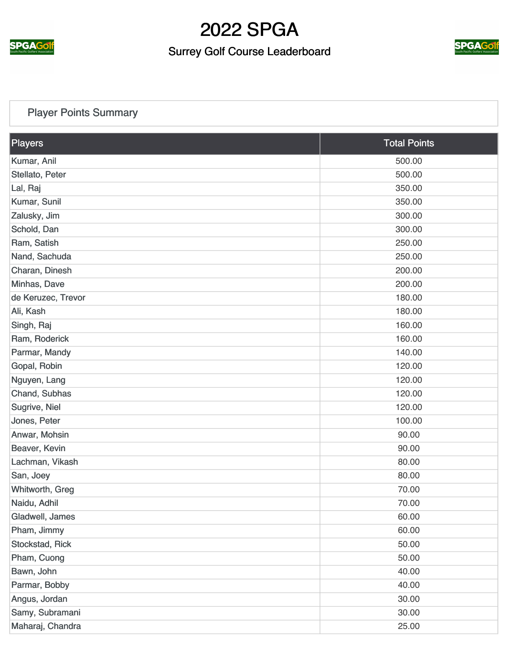

### Surrey Golf Course Leaderboard



#### [Player Points Summary](https://static.golfgenius.com/v2tournaments/total_points?league_id=287068&round_id=896695)

| Players            | <b>Total Points</b> |
|--------------------|---------------------|
| Kumar, Anil        | 500.00              |
| Stellato, Peter    | 500.00              |
| Lal, Raj           | 350.00              |
| Kumar, Sunil       | 350.00              |
| Zalusky, Jim       | 300.00              |
| Schold, Dan        | 300.00              |
| Ram, Satish        | 250.00              |
| Nand, Sachuda      | 250.00              |
| Charan, Dinesh     | 200.00              |
| Minhas, Dave       | 200.00              |
| de Keruzec, Trevor | 180.00              |
| Ali, Kash          | 180.00              |
| Singh, Raj         | 160.00              |
| Ram, Roderick      | 160.00              |
| Parmar, Mandy      | 140.00              |
| Gopal, Robin       | 120.00              |
| Nguyen, Lang       | 120.00              |
| Chand, Subhas      | 120.00              |
| Sugrive, Niel      | 120.00              |
| Jones, Peter       | 100.00              |
| Anwar, Mohsin      | 90.00               |
| Beaver, Kevin      | 90.00               |
| Lachman, Vikash    | 80.00               |
| San, Joey          | 80.00               |
| Whitworth, Greg    | 70.00               |
| Naidu, Adhil       | 70.00               |
| Gladwell, James    | 60.00               |
| Pham, Jimmy        | 60.00               |
| Stockstad, Rick    | 50.00               |
| Pham, Cuong        | 50.00               |
| Bawn, John         | 40.00               |
| Parmar, Bobby      | 40.00               |
| Angus, Jordan      | 30.00               |
| Samy, Subramani    | 30.00               |
| Maharaj, Chandra   | 25.00               |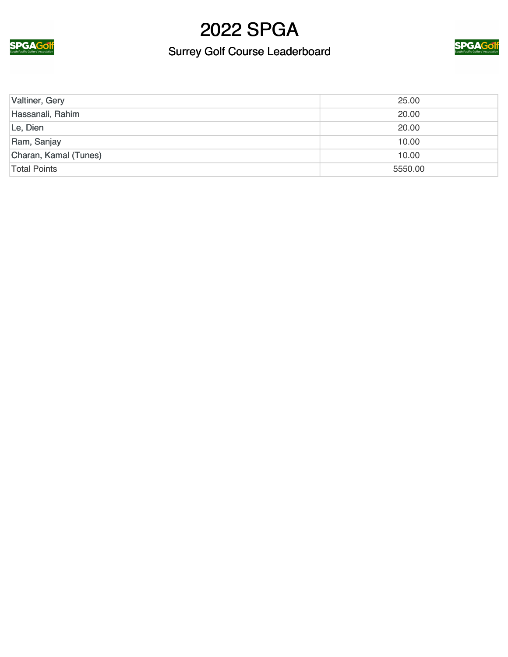

### Surrey Golf Course Leaderboard



| Valtiner, Gery        | 25.00   |
|-----------------------|---------|
| Hassanali, Rahim      | 20.00   |
| Le, Dien              | 20.00   |
| Ram, Sanjay           | 10.00   |
| Charan, Kamal (Tunes) | 10.00   |
| <b>Total Points</b>   | 5550.00 |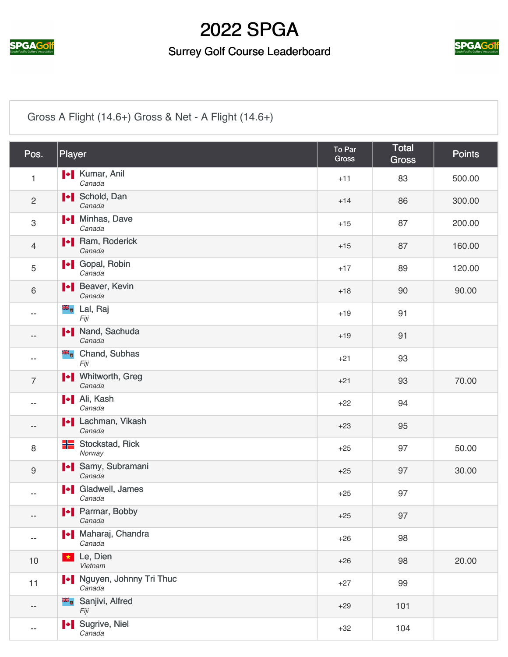

### Surrey Golf Course Leaderboard



#### [Gross A Flight \(14.6+\) Gross & Net - A Flight \(14.6+\)](https://static.golfgenius.com/v2tournaments/2564233?called_from=&round_index=6)

| Pos.                     | Player                              | To Par<br>Gross | <b>Total</b><br><b>Gross</b> | <b>Points</b> |
|--------------------------|-------------------------------------|-----------------|------------------------------|---------------|
| $\mathbf{1}$             | <b>*</b> Kumar, Anil<br>Canada      | $+11$           | 83                           | 500.00        |
| $\overline{c}$           | <b>I</b> Schold, Dan<br>Canada      | $+14$           | 86                           | 300.00        |
| 3                        | <b>I</b> Minhas, Dave<br>Canada     | $+15$           | 87                           | 200.00        |
| $\overline{4}$           | <b>Nam, Roderick</b><br>Canada      | $+15$           | 87                           | 160.00        |
| 5                        | <b>I</b> Gopal, Robin<br>Canada     | $+17$           | 89                           | 120.00        |
| $\,6\,$                  | <b>I</b> Beaver, Kevin<br>Canada    | $+18$           | 90                           | 90.00         |
| $-$                      | <sup>■■</sup> Lal, Raj<br>Fiji      | $+19$           | 91                           |               |
| $- -$                    | Nand, Sachuda<br>Canada             | $+19$           | 91                           |               |
| $- -$                    | ×,<br>Chand, Subhas<br>Fiji         | $+21$           | 93                           |               |
| $\overline{7}$           | <b>I</b> Vhitworth, Greg<br>Canada  | $+21$           | 93                           | 70.00         |
|                          | <b>+</b> Ali, Kash<br>Canada        | $+22$           | 94                           |               |
|                          | <b>I*</b> Lachman, Vikash<br>Canada | $+23$           | 95                           |               |
| 8                        | <b>H</b> Stockstad, Rick<br>Norway  | $+25$           | 97                           | 50.00         |
| $\boldsymbol{9}$         | I Samy, Subramani<br>Canada         | $+25$           | 97                           | 30.00         |
| --                       | I Gladwell, James<br>Canada         | $+25$           | 97                           |               |
| $-\,-$                   | Parmar, Bobby<br>Canada             | $+25$           | 97                           |               |
| $\overline{\phantom{a}}$ | Maharaj, Chandra<br>Canada          | $+26$           | 98                           |               |
| 10                       | Le, Dien<br>$\star$<br>Vietnam      | $+26$           | 98                           | 20.00         |
| 11                       | Nguyen, Johnny Tri Thuc<br>Canada   | $+27$           | 99                           |               |
| $\overline{\phantom{a}}$ | Sanjivi, Alfred<br>Fiji             | $+29$           | 101                          |               |
| $\overline{\phantom{a}}$ | I Sugrive, Niel<br>Canada           | $+32$           | 104                          |               |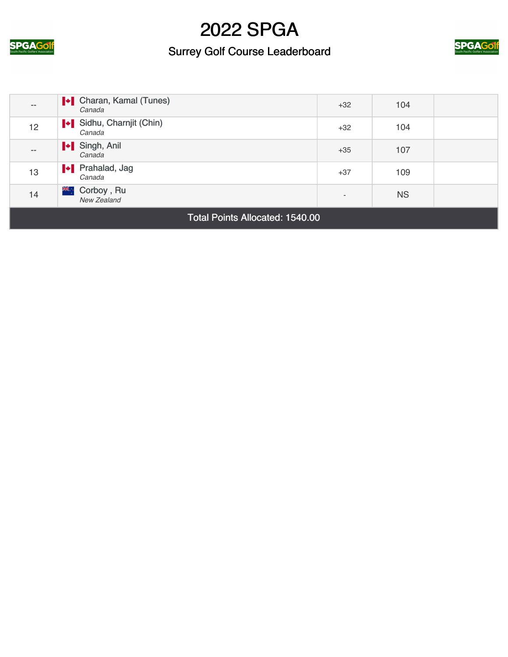

### Surrey Golf Course Leaderboard



| $- -$             | <b>I</b> Charan, Kamal (Tunes)<br>Canada | $+32$                    | 104       |  |
|-------------------|------------------------------------------|--------------------------|-----------|--|
| 12 <sup>°</sup>   | Sidhu, Charnjit (Chin)<br>Canada         | $+32$                    | 104       |  |
| $\qquad \qquad -$ | I Singh, Anil<br>Canada                  | $+35$                    | 107       |  |
| 13                | <b>I</b> Prahalad, Jag<br>Canada         | $+37$                    | 109       |  |
| 14                | ,ैं,<br>Corboy, Ru<br>New Zealand        | $\overline{\phantom{a}}$ | <b>NS</b> |  |

Total Points Allocated: 1540.00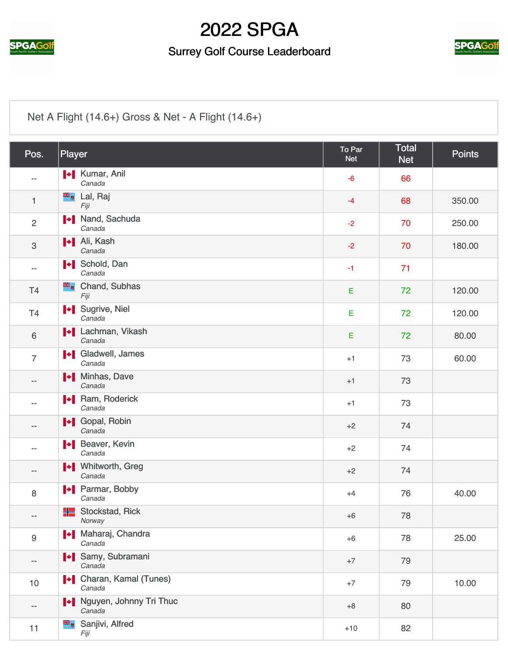

#### Surrey Golf Course Leaderboard



#### [Net A Flight \(14.6+\) Gross & Net - A Flight \(14.6+\)](https://static.golfgenius.com/v2tournaments/2564234?called_from=&round_index=6)

| Pos.                      | Player                                   | To Par<br><b>Net</b> | <b>Total</b><br><b>Net</b> | <b>Points</b> |
|---------------------------|------------------------------------------|----------------------|----------------------------|---------------|
|                           | <b>I</b> Kumar, Anil<br>Canada           | $-6$                 | 66                         |               |
| $\mathbf{1}$              | <sup>■</sup> ■ Lal, Raj<br>Fiji          | $-4$                 | 68                         | 350.00        |
| $\overline{2}$            | I Nand, Sachuda<br>Canada                | $-2$                 | 70                         | 250.00        |
| $\ensuremath{\mathsf{3}}$ | <b>I</b> Ali, Kash<br>Canada             | $-2$                 | 70                         | 180.00        |
| --                        | <b>I</b> Schold, Dan<br>Canada           | $-1$                 | 71                         |               |
| T <sub>4</sub>            | <b>E</b> Chand, Subhas<br>Fiji           | E                    | 72                         | 120.00        |
| T4                        | I Sugrive, Niel<br>Canada                | E                    | 72                         | 120.00        |
| $\,6\,$                   | <b>I</b> Lachman, Vikash<br>Canada       | E                    | 72                         | 80.00         |
| $\overline{7}$            | <b>I</b> Gladwell, James<br>Canada       | $+1$                 | 73                         | 60.00         |
| --                        | Minhas, Dave<br>Canada                   | $+1$                 | 73                         |               |
|                           | <b>I</b> Ram, Roderick<br>Canada         | $+1$                 | 73                         |               |
| $\qquad \qquad -$         | <b>I</b> Gopal, Robin<br>Canada          | $+2$                 | 74                         |               |
|                           | Heaver, Kevin<br>Canada                  | $+2$                 | 74                         |               |
| --                        | <b>I</b> Vhitworth, Greg<br>Canada       | $+2$                 | 74                         |               |
| $\,8\,$                   | <b>I</b> Parmar, Bobby<br>Canada         | $+4$                 | 76                         | 40.00         |
| $\overline{\phantom{a}}$  | <b>H</b> Stockstad, Rick<br>Norway       | $+6$                 | 78                         |               |
| $\boldsymbol{9}$          | Maharaj, Chandra<br>Canada               | $+6$                 | 78                         | 25.00         |
| $- -$                     | I Samy, Subramani<br>Canada              | $+7$                 | 79                         |               |
| 10                        | <b>I</b> Charan, Kamal (Tunes)<br>Canada | $+7$                 | 79                         | 10.00         |
| $\overline{\phantom{a}}$  | Nguyen, Johnny Tri Thuc<br>Canada        | $+8$                 | 80                         |               |
| 11                        | Sanjivi, Alfred<br>Fiji                  | $+10$                | 82                         |               |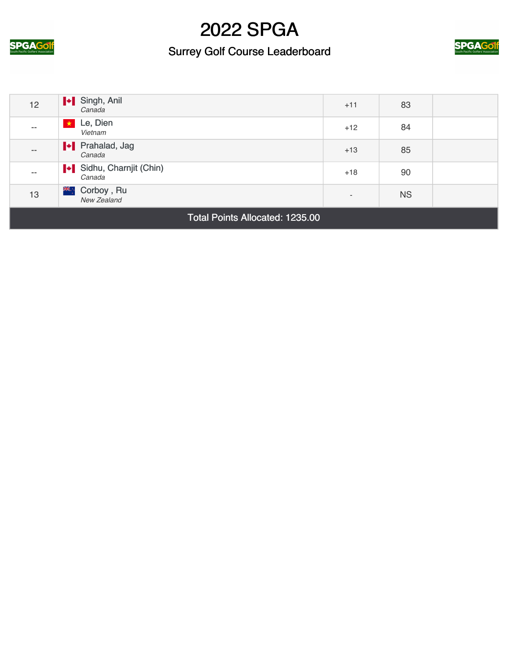

### Surrey Golf Course Leaderboard



| 12                                                      | I Singh, Anil<br>Canada          | $+11$                    | 83        |  |
|---------------------------------------------------------|----------------------------------|--------------------------|-----------|--|
| $- -$                                                   | Le, Dien<br>Vietnam              | $+12$                    | 84        |  |
| $\qquad \qquad -$                                       | Prahalad, Jag<br>Canada          | $+13$                    | 85        |  |
| $- -$                                                   | Sidhu, Charnjit (Chin)<br>Canada | $+18$                    | 90        |  |
| 13                                                      | Ж∴<br>Corboy, Ru<br>New Zealand  | $\overline{\phantom{a}}$ | <b>NS</b> |  |
| $T - 1 - 1 - 2 - 1 - 3 + 1 - 1 - 1 - 1 - 4 - 0 - 0 - 0$ |                                  |                          |           |  |

Total Points Allocated: 1235.00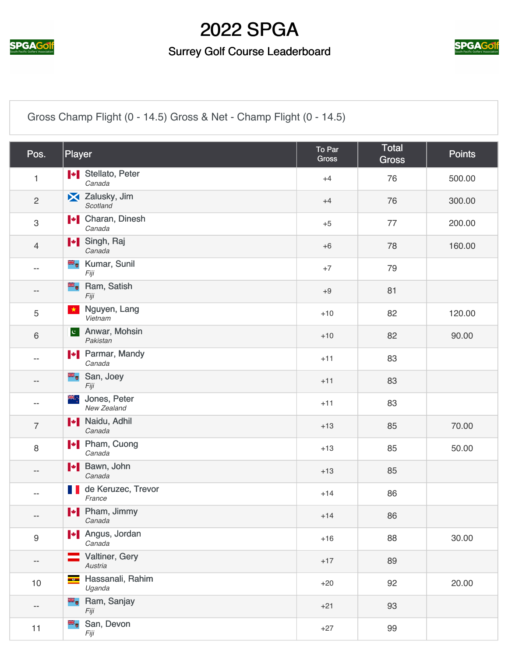

#### Surrey Golf Course Leaderboard



[Gross Champ Flight \(0 - 14.5\) Gross & Net - Champ Flight \(0 - 14.5\)](https://static.golfgenius.com/v2tournaments/2564236?called_from=&round_index=6)

| Pos.           | Player                                                 | To Par<br><b>Gross</b> | <b>Total</b><br><b>Gross</b> | <b>Points</b> |
|----------------|--------------------------------------------------------|------------------------|------------------------------|---------------|
| $\mathbf{1}$   | Stellato, Peter<br>Canada                              | $+4$                   | 76                           | 500.00        |
| $\overline{2}$ | X Zalusky, Jim<br>Scotland                             | $+4$                   | 76                           | 300.00        |
| 3              | <b>I</b> Charan, Dinesh<br>Canada                      | $+5$                   | 77                           | 200.00        |
| $\overline{4}$ | I Singh, Raj<br>Canada                                 | $+6$                   | 78                           | 160.00        |
| $- -$          | <b>E</b> Kumar, Sunil<br>Fiji                          | $+7$                   | 79                           |               |
| --             | e de la<br>Ram, Satish<br>Fiji                         | $+9$                   | 81                           |               |
| 5              | Nguyen, Lang<br>$\star$<br>Vietnam                     | $+10$                  | 82                           | 120.00        |
| 6              | Anwar, Mohsin<br> c <br>Pakistan                       | $+10$                  | 82                           | 90.00         |
| --             | <b>I</b> Parmar, Mandy<br>Canada                       | $+11$                  | 83                           |               |
| --             | San, Joey<br>Fiji                                      | $+11$                  | 83                           |               |
| --             | ,्≫ह<br>Jones, Peter<br>New Zealand                    | $+11$                  | 83                           |               |
| $\overline{7}$ | <b>*</b> Naidu, Adhil<br>Canada                        | $+13$                  | 85                           | 70.00         |
| 8              | Pham, Cuong<br>Canada                                  | $+13$                  | 85                           | 50.00         |
| $-$            | I + Bawn, John<br>Canada                               | $+13$                  | 85                           |               |
| $-$            | de Keruzec, Trevor<br><b>TELEVISION</b><br>France      | $+14$                  | 86                           |               |
| $- -$          | I Pham, Jimmy<br>Canada                                | $+14$                  | 86                           |               |
| 9              | <b>I</b> Angus, Jordan<br>Canada                       | $+16$                  | 88                           | 30.00         |
| ÷              | Valtiner, Gery<br>Austria                              | $+17$                  | 89                           |               |
| 10             | Hassanali, Rahim<br>$\overline{\phantom{a}}$<br>Uganda | $+20$                  | 92                           | 20.00         |
| ÷              | <b>E</b> Ram, Sanjay<br>Fiji                           | $+21$                  | 93                           |               |
| 11             | San, Devon<br>ak<br>Sk<br>Fiji                         | $+27$                  | 99                           |               |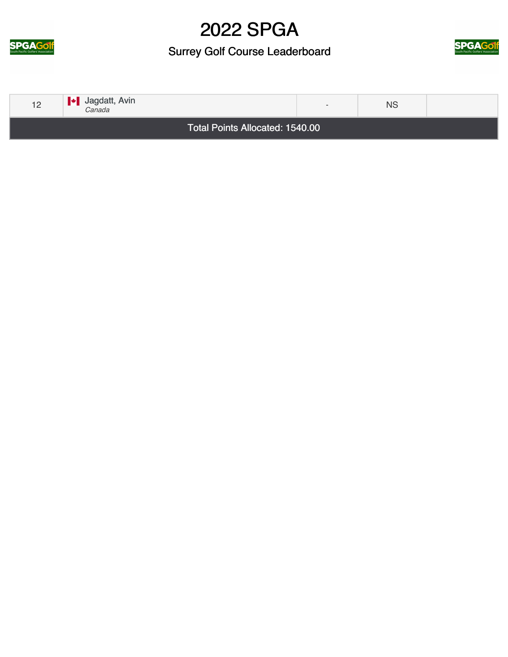

Surrey Golf Course Leaderboard



| 12 | $\blacktriangleright$ Jagdatt, Avin<br>Canada | $\sim$ | <b>NS</b> |  |
|----|-----------------------------------------------|--------|-----------|--|
|    | Total Points Allocated: 1540.00               |        |           |  |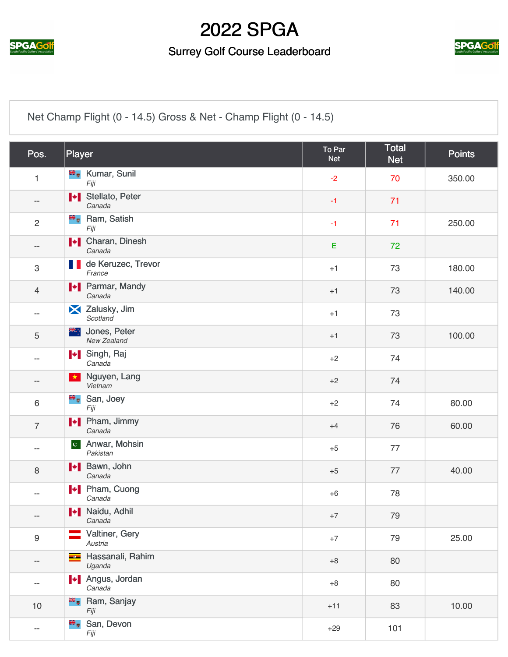

#### Surrey Golf Course Leaderboard



[Net Champ Flight \(0 - 14.5\) Gross & Net - Champ Flight \(0 - 14.5\)](https://static.golfgenius.com/v2tournaments/2564237?called_from=&round_index=6)

| Pos.                      | Player                                             | To Par<br><b>Net</b> | Total<br><b>Net</b> | <b>Points</b> |
|---------------------------|----------------------------------------------------|----------------------|---------------------|---------------|
| 1                         | <b>E</b> Kumar, Sunil<br>Fiji                      | $-2$                 | 70                  | 350.00        |
| $\overline{\phantom{a}}$  | I Stellato, Peter<br>Canada                        | $-1$                 | 71                  |               |
| $\overline{2}$            | <b>E</b> <sub>v</sub> Ram, Satish<br>Fiji          | $-1$                 | 71                  | 250.00        |
| --                        | I Charan, Dinesh<br>Canada                         | E                    | 72                  |               |
| $\ensuremath{\mathsf{3}}$ | de Keruzec, Trevor<br>France                       | $+1$                 | 73                  | 180.00        |
| $\overline{4}$            | <b>I</b> Parmar, Mandy<br>Canada                   | $+1$                 | 73                  | 140.00        |
| $\overline{\phantom{a}}$  | X Zalusky, Jim<br>Scotland                         | $+1$                 | 73                  |               |
| 5                         | Jones, Peter<br>, ≫ह<br>New Zealand                | $+1$                 | 73                  | 100.00        |
| $\overline{\phantom{a}}$  | I Singh, Raj<br>Canada                             | $+2$                 | 74                  |               |
| $\overline{\phantom{a}}$  | Nguyen, Lang<br>$\star$<br>Vietnam                 | $+2$                 | 74                  |               |
| $6\,$                     | äĸ,<br>San, Joey<br>Fiji                           | $+2$                 | 74                  | 80.00         |
| $\overline{7}$            | <b>I</b> Pham, Jimmy<br>Canada                     | $+4$                 | 76                  | 60.00         |
| --                        | Anwar, Mohsin<br>$ {\bf c}^{\dagger} $<br>Pakistan | $+5$                 | 77                  |               |
| 8                         | <b>I</b> Bawn, John<br>Canada                      | $+5$                 | 77                  | 40.00         |
| $\overline{\phantom{a}}$  | <b>I</b> Pham, Cuong<br>Canada                     | $+6$                 | 78                  |               |
| $\qquad \qquad -$         | Naidu, Adhil<br>Canada                             | $+7$                 | 79                  |               |
| $\boldsymbol{9}$          | Valtiner, Gery<br>Austria                          | $+7$                 | 79                  | 25.00         |
| $\overline{\phantom{m}}$  | Hassanali, Rahim<br>Uganda                         | $+8$                 | 80                  |               |
| $\overline{\phantom{a}}$  | <b>+</b> Angus, Jordan<br>Canada                   | $+8$                 | 80                  |               |
| 10                        | <b>B</b> <sub>o</sub> Ram, Sanjay<br>Fiji          | $+11$                | 83                  | 10.00         |
| $\overline{\phantom{m}}$  | San, Devon<br>Fiji                                 | $+29$                | 101                 |               |